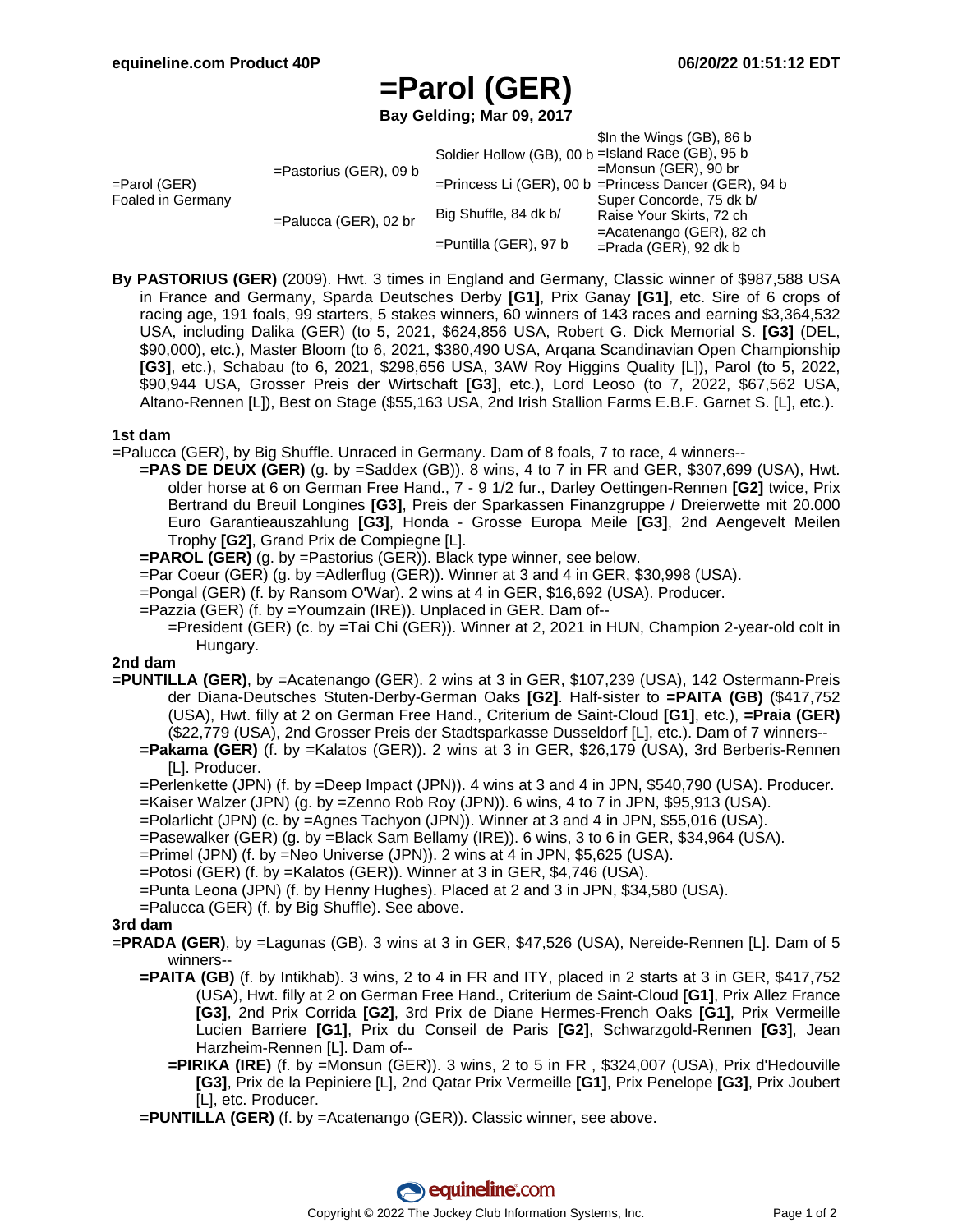# **=Parol (GER)**

**Bay Gelding; Mar 09, 2017**

|                                      |                           | \$In the Wings (GB), 86 b                                   |  |
|--------------------------------------|---------------------------|-------------------------------------------------------------|--|
| $=$ Parol (GER)<br>Foaled in Germany | $=$ Pastorius (GER), 09 b | Soldier Hollow (GB), 00 b = Island Race (GB), 95 b          |  |
|                                      |                           | $=$ Monsun (GER), 90 br                                     |  |
|                                      |                           | $=$ Princess Li (GER), 00 b $=$ Princess Dancer (GER), 94 b |  |
|                                      |                           | Super Concorde, 75 dk b/                                    |  |
|                                      | $=$ Palucca (GER), 02 br  | Big Shuffle, 84 dk b/<br>Raise Your Skirts, 72 ch           |  |
|                                      |                           | $=$ Acatenango (GER), 82 ch                                 |  |
|                                      |                           | $=$ Puntilla (GER), 97 b<br>$=$ Prada (GER), 92 dk b        |  |

**By PASTORIUS (GER)** (2009). Hwt. 3 times in England and Germany, Classic winner of \$987,588 USA in France and Germany, Sparda Deutsches Derby **[G1]**, Prix Ganay **[G1]**, etc. Sire of 6 crops of racing age, 191 foals, 99 starters, 5 stakes winners, 60 winners of 143 races and earning \$3,364,532 USA, including Dalika (GER) (to 5, 2021, \$624,856 USA, Robert G. Dick Memorial S. **[G3]** (DEL, \$90,000), etc.), Master Bloom (to 6, 2021, \$380,490 USA, Arqana Scandinavian Open Championship **[G3]**, etc.), Schabau (to 6, 2021, \$298,656 USA, 3AW Roy Higgins Quality [L]), Parol (to 5, 2022, \$90,944 USA, Grosser Preis der Wirtschaft **[G3]**, etc.), Lord Leoso (to 7, 2022, \$67,562 USA, Altano-Rennen [L]), Best on Stage (\$55,163 USA, 2nd Irish Stallion Farms E.B.F. Garnet S. [L], etc.).

### **1st dam**

=Palucca (GER), by Big Shuffle. Unraced in Germany. Dam of 8 foals, 7 to race, 4 winners--

- **=PAS DE DEUX (GER)** (g. by =Saddex (GB)). 8 wins, 4 to 7 in FR and GER, \$307,699 (USA), Hwt. older horse at 6 on German Free Hand., 7 - 9 1/2 fur., Darley Oettingen-Rennen **[G2]** twice, Prix Bertrand du Breuil Longines **[G3]**, Preis der Sparkassen Finanzgruppe / Dreierwette mit 20.000 Euro Garantieauszahlung **[G3]**, Honda - Grosse Europa Meile **[G3]**, 2nd Aengevelt Meilen Trophy **[G2]**, Grand Prix de Compiegne [L].
- **=PAROL (GER)** (g. by =Pastorius (GER)). Black type winner, see below.
- =Par Coeur (GER) (g. by =Adlerflug (GER)). Winner at 3 and 4 in GER, \$30,998 (USA).
- =Pongal (GER) (f. by Ransom O'War). 2 wins at 4 in GER, \$16,692 (USA). Producer.
- =Pazzia (GER) (f. by =Youmzain (IRE)). Unplaced in GER. Dam of--
	- =President (GER) (c. by =Tai Chi (GER)). Winner at 2, 2021 in HUN, Champion 2-year-old colt in Hungary.

### **2nd dam**

- **=PUNTILLA (GER)**, by =Acatenango (GER). 2 wins at 3 in GER, \$107,239 (USA), 142 Ostermann-Preis der Diana-Deutsches Stuten-Derby-German Oaks **[G2]**. Half-sister to **=PAITA (GB)** (\$417,752 (USA), Hwt. filly at 2 on German Free Hand., Criterium de Saint-Cloud **[G1]**, etc.), **=Praia (GER)** (\$22,779 (USA), 2nd Grosser Preis der Stadtsparkasse Dusseldorf [L], etc.). Dam of 7 winners--
	- **=Pakama (GER)** (f. by =Kalatos (GER)). 2 wins at 3 in GER, \$26,179 (USA), 3rd Berberis-Rennen [L]. Producer.
	- =Perlenkette (JPN) (f. by =Deep Impact (JPN)). 4 wins at 3 and 4 in JPN, \$540,790 (USA). Producer.
	- =Kaiser Walzer (JPN) (g. by =Zenno Rob Roy (JPN)). 6 wins, 4 to 7 in JPN, \$95,913 (USA).
	- =Polarlicht (JPN) (c. by =Agnes Tachyon (JPN)). Winner at 3 and 4 in JPN, \$55,016 (USA).
	- =Pasewalker (GER) (g. by =Black Sam Bellamy (IRE)). 6 wins, 3 to 6 in GER, \$34,964 (USA).
	- =Primel (JPN) (f. by =Neo Universe (JPN)). 2 wins at 4 in JPN, \$5,625 (USA).
	- =Potosi (GER) (f. by =Kalatos (GER)). Winner at 3 in GER, \$4,746 (USA).
	- =Punta Leona (JPN) (f. by Henny Hughes). Placed at 2 and 3 in JPN, \$34,580 (USA).
	- =Palucca (GER) (f. by Big Shuffle). See above.

### **3rd dam**

- **=PRADA (GER)**, by =Lagunas (GB). 3 wins at 3 in GER, \$47,526 (USA), Nereide-Rennen [L]. Dam of 5 winners--
	- **=PAITA (GB)** (f. by Intikhab). 3 wins, 2 to 4 in FR and ITY, placed in 2 starts at 3 in GER, \$417,752 (USA), Hwt. filly at 2 on German Free Hand., Criterium de Saint-Cloud **[G1]**, Prix Allez France **[G3]**, 2nd Prix Corrida **[G2]**, 3rd Prix de Diane Hermes-French Oaks **[G1]**, Prix Vermeille Lucien Barriere **[G1]**, Prix du Conseil de Paris **[G2]**, Schwarzgold-Rennen **[G3]**, Jean Harzheim-Rennen [L]. Dam of--
		- **=PIRIKA (IRE)** (f. by =Monsun (GER)). 3 wins, 2 to 5 in FR , \$324,007 (USA), Prix d'Hedouville **[G3]**, Prix de la Pepiniere [L], 2nd Qatar Prix Vermeille **[G1]**, Prix Penelope **[G3]**, Prix Joubert [L], etc. Producer.
	- **=PUNTILLA (GER)** (f. by =Acatenango (GER)). Classic winner, see above.